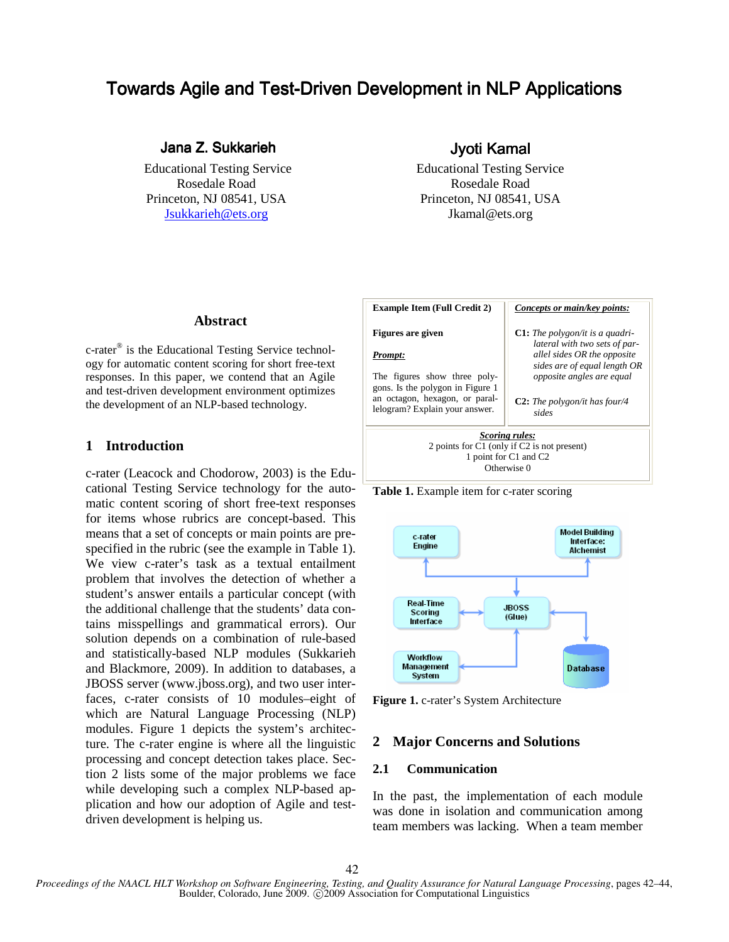# Towards Agile and Test-Driven Development in NLP Applications

# Jana Z. Sukkarieh Jyoti Kamal Jyoti Kamal yoti Kamal

Jsukkarieh@ets.org Jkamal@ets.org

 Educational Testing Service Educational Testing Service Rosedale Road Rosedale Road Princeton, NJ 08541, USA Princeton, NJ 08541, USA

#### **Abstract**

c-rater® is the Educational Testing Service technology for automatic content scoring for short free-text responses. In this paper, we contend that an Agile and test-driven development environment optimizes the development of an NLP-based technology.

## **1 Introduction**

c-rater (Leacock and Chodorow, 2003) is the Educational Testing Service technology for the automatic content scoring of short free-text responses for items whose rubrics are concept-based. This means that a set of concepts or main points are prespecified in the rubric (see the example in Table 1). We view c-rater's task as a textual entailment problem that involves the detection of whether a student's answer entails a particular concept (with the additional challenge that the students' data contains misspellings and grammatical errors). Our solution depends on a combination of rule-based and statistically-based NLP modules (Sukkarieh and Blackmore, 2009). In addition to databases, a JBOSS server (www.jboss.org), and two user interfaces, c-rater consists of 10 modules–eight of which are Natural Language Processing (NLP) modules. Figure 1 depicts the system's architecture. The c-rater engine is where all the linguistic processing and concept detection takes place. Section 2 lists some of the major problems we face while developing such a complex NLP-based application and how our adoption of Agile and testdriven development is helping us.



Table 1. Example item for c-rater scoring



**Figure 1.** c-rater's System Architecture

# **2 Major Concerns and Solutions**

#### **2.1 Communication**

In the past, the implementation of each module was done in isolation and communication among team members was lacking. When a team member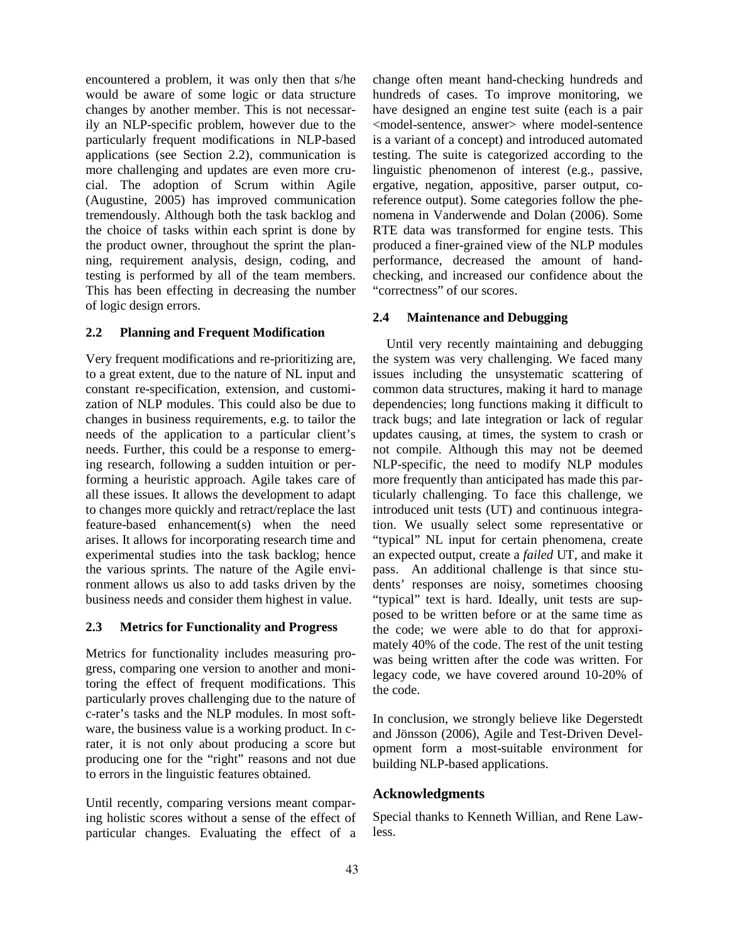encountered a problem, it was only then that s/he would be aware of some logic or data structure changes by another member. This is not necessarily an NLP-specific problem, however due to the particularly frequent modifications in NLP-based applications (see Section 2.2), communication is more challenging and updates are even more crucial. The adoption of Scrum within Agile (Augustine, 2005) has improved communication tremendously. Although both the task backlog and the choice of tasks within each sprint is done by the product owner, throughout the sprint the planning, requirement analysis, design, coding, and testing is performed by all of the team members. This has been effecting in decreasing the number of logic design errors.

#### **2.2 Planning and Frequent Modification**

Very frequent modifications and re-prioritizing are, to a great extent, due to the nature of NL input and constant re-specification, extension, and customization of NLP modules. This could also be due to changes in business requirements, e.g. to tailor the needs of the application to a particular client's needs. Further, this could be a response to emerging research, following a sudden intuition or performing a heuristic approach. Agile takes care of all these issues. It allows the development to adapt to changes more quickly and retract/replace the last feature-based enhancement(s) when the need arises. It allows for incorporating research time and experimental studies into the task backlog; hence the various sprints. The nature of the Agile environment allows us also to add tasks driven by the business needs and consider them highest in value.

#### **2.3 Metrics for Functionality and Progress**

Metrics for functionality includes measuring progress, comparing one version to another and monitoring the effect of frequent modifications. This particularly proves challenging due to the nature of c-rater's tasks and the NLP modules. In most software, the business value is a working product. In crater, it is not only about producing a score but producing one for the "right" reasons and not due to errors in the linguistic features obtained.

Until recently, comparing versions meant comparing holistic scores without a sense of the effect of particular changes. Evaluating the effect of a

change often meant hand-checking hundreds and hundreds of cases. To improve monitoring, we have designed an engine test suite (each is a pair <model-sentence, answer> where model-sentence is a variant of a concept) and introduced automated testing. The suite is categorized according to the linguistic phenomenon of interest (e.g., passive, ergative, negation, appositive, parser output, coreference output). Some categories follow the phenomena in Vanderwende and Dolan (2006). Some RTE data was transformed for engine tests. This produced a finer-grained view of the NLP modules performance, decreased the amount of handchecking, and increased our confidence about the "correctness" of our scores.

#### **2.4 Maintenance and Debugging**

Until very recently maintaining and debugging the system was very challenging. We faced many issues including the unsystematic scattering of common data structures, making it hard to manage dependencies; long functions making it difficult to track bugs; and late integration or lack of regular updates causing, at times, the system to crash or not compile. Although this may not be deemed NLP-specific, the need to modify NLP modules more frequently than anticipated has made this particularly challenging. To face this challenge, we introduced unit tests (UT) and continuous integration. We usually select some representative or "typical" NL input for certain phenomena, create an expected output, create a *failed* UT, and make it pass. An additional challenge is that since students' responses are noisy, sometimes choosing "typical" text is hard. Ideally, unit tests are supposed to be written before or at the same time as the code; we were able to do that for approximately 40% of the code. The rest of the unit testing was being written after the code was written. For legacy code, we have covered around 10-20% of the code.

In conclusion, we strongly believe like Degerstedt and Jönsson (2006), Agile and Test-Driven Development form a most-suitable environment for building NLP-based applications.

### **Acknowledgments**

Special thanks to Kenneth Willian, and Rene Lawless.